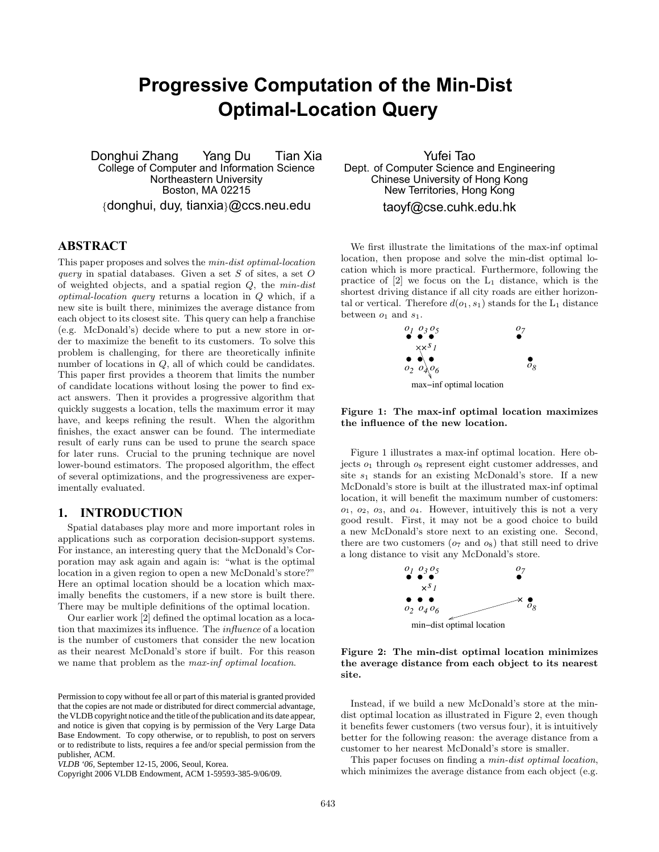# **Progressive Computation of the Min-Dist Optimal-Location Query**

Donghui Zhang Yang Du Tian Xia College of Computer and Information Science Northeastern University Boston, MA 02215 {donghui, duy, tianxia}@ccs.neu.edu

# **ABSTRACT**

This paper proposes and solves the min-dist optimal-location query in spatial databases. Given a set  $S$  of sites, a set  $O$ of weighted objects, and a spatial region  $Q$ , the  $min\text{-}dist$ optimal-location query returns a location in Q which, if a new site is built there, minimizes the average distance from each object to its closest site. This query can help a franchise (e.g. McDonald's) decide where to put a new store in order to maximize the benefit to its customers. To solve this problem is challenging, for there are theoretically infinite number of locations in  $Q$ , all of which could be candidates. This paper first provides a theorem that limits the number of candidate locations without losing the power to find exact answers. Then it provides a progressive algorithm that quickly suggests a location, tells the maximum error it may have, and keeps refining the result. When the algorithm finishes, the exact answer can be found. The intermediate result of early runs can be used to prune the search space for later runs. Crucial to the pruning technique are novel lower-bound estimators. The proposed algorithm, the effect of several optimizations, and the progressiveness are experimentally evaluated.

# **1. INTRODUCTION**

Spatial databases play more and more important roles in applications such as corporation decision-support systems. For instance, an interesting query that the McDonald's Corporation may ask again and again is: "what is the optimal location in a given region to open a new McDonald's store?" Here an optimal location should be a location which maximally benefits the customers, if a new store is built there. There may be multiple definitions of the optimal location.

Our earlier work [2] defined the optimal location as a location that maximizes its influence. The influence of a location is the number of customers that consider the new location as their nearest McDonald's store if built. For this reason we name that problem as the max-inf optimal location.

Copyright 2006 VLDB Endowment, ACM 1-59593-385-9/06/09.

Yufei Tao Dept. of Computer Science and Engineering Chinese University of Hong Kong New Territories, Hong Kong taoyf@cse.cuhk.edu.hk

We first illustrate the limitations of the max-inf optimal location, then propose and solve the min-dist optimal location which is more practical. Furthermore, following the practice of  $[2]$  we focus on the  $L_1$  distance, which is the shortest driving distance if all city roads are either horizontal or vertical. Therefore  $d(o_1, s_1)$  stands for the  $L_1$  distance between  $o_1$  and  $s_1$ .



Figure 1: The max-inf optimal location maximizes the influence of the new location.

Figure 1 illustrates a max-inf optimal location. Here objects  $o_1$  through  $o_8$  represent eight customer addresses, and site  $s_1$  stands for an existing McDonald's store. If a new McDonald's store is built at the illustrated max-inf optimal location, it will benefit the maximum number of customers:  $o_1, o_2, o_3$ , and  $o_4$ . However, intuitively this is not a very good result. First, it may not be a good choice to build a new McDonald's store next to an existing one. Second, there are two customers  $(o<sub>7</sub>$  and  $o<sub>8</sub>)$  that still need to drive a long distance to visit any McDonald's store.



Figure 2: The min-dist optimal location minimizes the average distance from each object to its nearest site.

Instead, if we build a new McDonald's store at the mindist optimal location as illustrated in Figure 2, even though it benefits fewer customers (two versus four), it is intuitively better for the following reason: the average distance from a customer to her nearest McDonald's store is smaller.

This paper focuses on finding a *min-dist optimal location*, which minimizes the average distance from each object (e.g.

Permission to copy without fee all or part of this material is granted provided that the copies are not made or distributed for direct commercial advantage, the VLDB copyright notice and the title of the publication and its date appear, and notice is given that copying is by permission of the Very Large Data Base Endowment. To copy otherwise, or to republish, to post on servers or to redistribute to lists, requires a fee and/or special permission from the publisher, ACM.

*VLDB '06,* September 12-15, 2006, Seoul, Korea.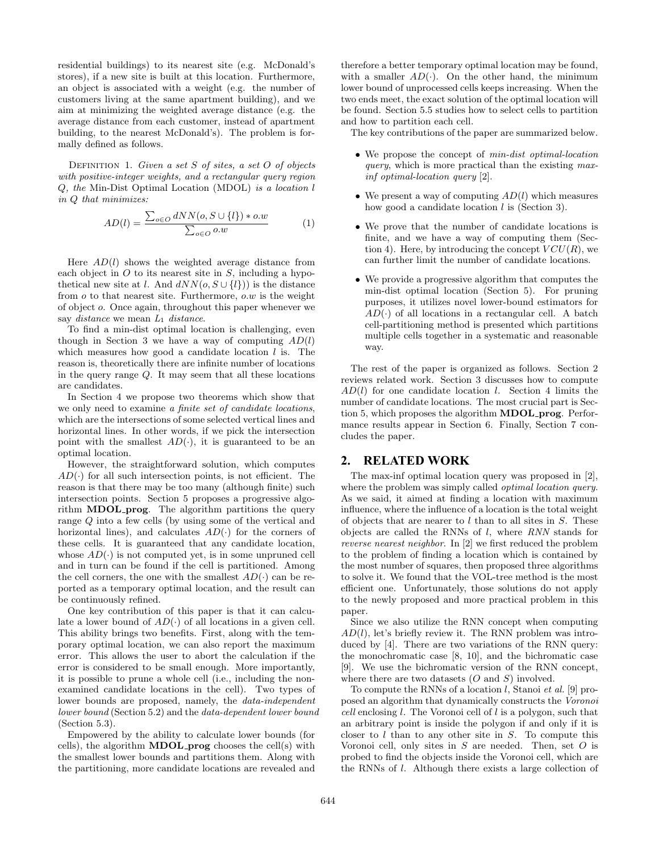residential buildings) to its nearest site (e.g. McDonald's stores), if a new site is built at this location. Furthermore, an object is associated with a weight (e.g. the number of customers living at the same apartment building), and we aim at minimizing the weighted average distance (e.g. the average distance from each customer, instead of apartment building, to the nearest McDonald's). The problem is formally defined as follows.

DEFINITION 1. Given a set  $S$  of sites, a set  $O$  of objects with positive-integer weights, and a rectangular query region Q, the Min-Dist Optimal Location (MDOL) is a location l in Q that minimizes:

$$
AD(l) = \frac{\sum_{o \in O} dNN(o, S \cup \{l\}) * o.w}{\sum_{o \in O} o.w} \tag{1}
$$

Here  $AD(l)$  shows the weighted average distance from each object in  $O$  to its nearest site in  $S$ , including a hypothetical new site at l. And  $dNN(o, S \cup \{l\}))$  is the distance from  $o$  to that nearest site. Furthermore,  $o.w$  is the weight of object o. Once again, throughout this paper whenever we say *distance* we mean  $L_1$  *distance*.

To find a min-dist optimal location is challenging, even though in Section 3 we have a way of computing  $AD(l)$ which measures how good a candidate location  $l$  is. The reason is, theoretically there are infinite number of locations in the query range Q. It may seem that all these locations are candidates.

In Section 4 we propose two theorems which show that we only need to examine a finite set of candidate locations, which are the intersections of some selected vertical lines and horizontal lines. In other words, if we pick the intersection point with the smallest  $AD(\cdot)$ , it is guaranteed to be an optimal location.

However, the straightforward solution, which computes  $AD(\cdot)$  for all such intersection points, is not efficient. The reason is that there may be too many (although finite) such intersection points. Section 5 proposes a progressive algorithm MDOL prog. The algorithm partitions the query range Q into a few cells (by using some of the vertical and horizontal lines), and calculates  $AD(\cdot)$  for the corners of these cells. It is guaranteed that any candidate location, whose  $AD(\cdot)$  is not computed yet, is in some unpruned cell and in turn can be found if the cell is partitioned. Among the cell corners, the one with the smallest  $AD(\cdot)$  can be reported as a temporary optimal location, and the result can be continuously refined.

One key contribution of this paper is that it can calculate a lower bound of  $AD(\cdot)$  of all locations in a given cell. This ability brings two benefits. First, along with the temporary optimal location, we can also report the maximum error. This allows the user to abort the calculation if the error is considered to be small enough. More importantly, it is possible to prune a whole cell (i.e., including the nonexamined candidate locations in the cell). Two types of lower bounds are proposed, namely, the *data-independent* lower bound (Section 5.2) and the data-dependent lower bound (Section 5.3).

Empowered by the ability to calculate lower bounds (for cells), the algorithm  $MDOL$  prog chooses the cell(s) with the smallest lower bounds and partitions them. Along with the partitioning, more candidate locations are revealed and therefore a better temporary optimal location may be found, with a smaller  $AD(\cdot)$ . On the other hand, the minimum lower bound of unprocessed cells keeps increasing. When the two ends meet, the exact solution of the optimal location will be found. Section 5.5 studies how to select cells to partition and how to partition each cell.

The key contributions of the paper are summarized below.

- We propose the concept of min-dist optimal-location query, which is more practical than the existing maxinf optimal-location query [2].
- We present a way of computing  $AD(l)$  which measures how good a candidate location  $l$  is (Section 3).
- We prove that the number of candidate locations is finite, and we have a way of computing them (Section 4). Here, by introducing the concept  $VCU(R)$ , we can further limit the number of candidate locations.
- We provide a progressive algorithm that computes the min-dist optimal location (Section 5). For pruning purposes, it utilizes novel lower-bound estimators for  $AD(\cdot)$  of all locations in a rectangular cell. A batch cell-partitioning method is presented which partitions multiple cells together in a systematic and reasonable way.

The rest of the paper is organized as follows. Section 2 reviews related work. Section 3 discusses how to compute  $AD(l)$  for one candidate location l. Section 4 limits the number of candidate locations. The most crucial part is Section 5, which proposes the algorithm MDOL prog. Performance results appear in Section 6. Finally, Section 7 concludes the paper.

# **2. RELATED WORK**

The max-inf optimal location query was proposed in [2], where the problem was simply called *optimal location query*. As we said, it aimed at finding a location with maximum influence, where the influence of a location is the total weight of objects that are nearer to  $l$  than to all sites in  $S$ . These objects are called the RNNs of  $l$ , where RNN stands for reverse nearest neighbor. In [2] we first reduced the problem to the problem of finding a location which is contained by the most number of squares, then proposed three algorithms to solve it. We found that the VOL-tree method is the most efficient one. Unfortunately, those solutions do not apply to the newly proposed and more practical problem in this paper.

Since we also utilize the RNN concept when computing  $AD(l)$ , let's briefly review it. The RNN problem was introduced by [4]. There are two variations of the RNN query: the monochromatic case [8, 10], and the bichromatic case [9]. We use the bichromatic version of the RNN concept, where there are two datasets  $(O \text{ and } S)$  involved.

To compute the RNNs of a location l, Stanoi et al. [9] proposed an algorithm that dynamically constructs the Voronoi cell enclosing l. The Voronoi cell of l is a polygon, such that an arbitrary point is inside the polygon if and only if it is closer to  $l$  than to any other site in  $S$ . To compute this Voronoi cell, only sites in  $S$  are needed. Then, set  $O$  is probed to find the objects inside the Voronoi cell, which are the RNNs of l. Although there exists a large collection of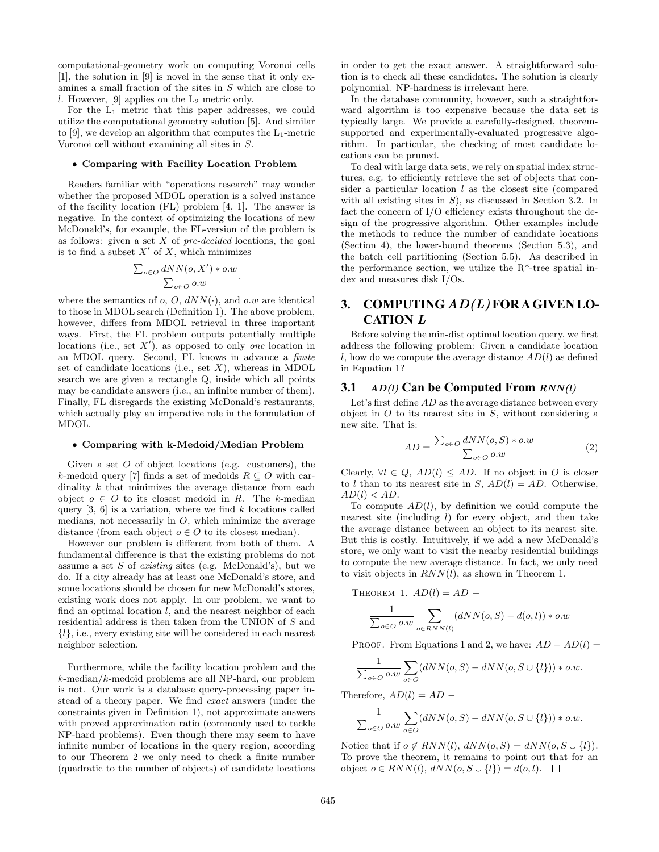computational-geometry work on computing Voronoi cells [1], the solution in [9] is novel in the sense that it only examines a small fraction of the sites in S which are close to l. However, [9] applies on the  $L_2$  metric only.

For the L<sup>1</sup> metric that this paper addresses, we could utilize the computational geometry solution [5]. And similar to [9], we develop an algorithm that computes the  $L_1$ -metric Voronoi cell without examining all sites in S.

#### • Comparing with Facility Location Problem

Readers familiar with "operations research" may wonder whether the proposed MDOL operation is a solved instance of the facility location (FL) problem [4, 1]. The answer is negative. In the context of optimizing the locations of new McDonald's, for example, the FL-version of the problem is as follows: given a set  $X$  of  $pre-decided$  locations, the goal is to find a subset  $X'$  of X, which minimizes

$$
\frac{\sum_{o \in O} dNN(o, X') * o.w}{\sum_{o \in O} o.w}.
$$

where the semantics of  $o$ ,  $O$ ,  $dNN(·)$ , and  $o.w$  are identical to those in MDOL search (Definition 1). The above problem, however, differs from MDOL retrieval in three important ways. First, the FL problem outputs potentially multiple locations (i.e., set  $X'$ ), as opposed to only one location in an MDOL query. Second, FL knows in advance a finite set of candidate locations (i.e., set  $X$ ), whereas in MDOL search we are given a rectangle Q, inside which all points may be candidate answers (i.e., an infinite number of them). Finally, FL disregards the existing McDonald's restaurants, which actually play an imperative role in the formulation of MDOL.

#### • Comparing with k-Medoid/Median Problem

Given a set  $O$  of object locations (e.g. customers), the k-medoid query [7] finds a set of medoids  $R \subseteq O$  with cardinality k that minimizes the average distance from each object  $o \in O$  to its closest medoid in R. The k-median query  $[3, 6]$  is a variation, where we find k locations called medians, not necessarily in  $O$ , which minimize the average distance (from each object  $o \in O$  to its closest median).

However our problem is different from both of them. A fundamental difference is that the existing problems do not assume a set  $S$  of *existing* sites (e.g. McDonald's), but we do. If a city already has at least one McDonald's store, and some locations should be chosen for new McDonald's stores, existing work does not apply. In our problem, we want to find an optimal location  $l$ , and the nearest neighbor of each residential address is then taken from the UNION of S and  ${l}, i.e., every existing site will be considered in each nearest$ neighbor selection.

Furthermore, while the facility location problem and the k-median/k-medoid problems are all NP-hard, our problem is not. Our work is a database query-processing paper instead of a theory paper. We find exact answers (under the constraints given in Definition 1), not approximate answers with proved approximation ratio (commonly used to tackle NP-hard problems). Even though there may seem to have infinite number of locations in the query region, according to our Theorem 2 we only need to check a finite number (quadratic to the number of objects) of candidate locations

in order to get the exact answer. A straightforward solution is to check all these candidates. The solution is clearly polynomial. NP-hardness is irrelevant here.

In the database community, however, such a straightforward algorithm is too expensive because the data set is typically large. We provide a carefully-designed, theoremsupported and experimentally-evaluated progressive algorithm. In particular, the checking of most candidate locations can be pruned.

To deal with large data sets, we rely on spatial index structures, e.g. to efficiently retrieve the set of objects that consider a particular location  $l$  as the closest site (compared with all existing sites in  $S$ ), as discussed in Section 3.2. In fact the concern of I/O efficiency exists throughout the design of the progressive algorithm. Other examples include the methods to reduce the number of candidate locations (Section 4), the lower-bound theorems (Section 5.3), and the batch cell partitioning (Section 5.5). As described in the performance section, we utilize the R\*-tree spatial index and measures disk I/Os.

# **3. COMPUTING** AD(L) **FOR A GIVEN LO-CATION** L

Before solving the min-dist optimal location query, we first address the following problem: Given a candidate location l, how do we compute the average distance  $AD(l)$  as defined in Equation 1?

#### **3.1** AD(l) **Can be Computed From** RNN(l)

Let's first define  $AD$  as the average distance between every object in  $O$  to its nearest site in  $S$ , without considering a new site. That is:

$$
AD = \frac{\sum_{o \in O} dNN(o, S) * o.w}{\sum_{o \in O} o.w} \tag{2}
$$

Clearly,  $\forall l \in Q$ ,  $AD(l) \leq AD$ . If no object in O is closer to l than to its nearest site in S,  $AD(l) = AD$ . Otherwise,  $AD(l) < AD$ .

To compute  $AD(l)$ , by definition we could compute the nearest site (including l) for every object, and then take the average distance between an object to its nearest site. But this is costly. Intuitively, if we add a new McDonald's store, we only want to visit the nearby residential buildings to compute the new average distance. In fact, we only need to visit objects in  $RNN(l)$ , as shown in Theorem 1.

THEOREM 1. 
$$
AD(l) = AD
$$

$$
\frac{1}{\sum_{o \in O} o.w} \sum_{o \in RNN(l)} (dNN(o, S) - d(o, l)) * o.w
$$

PROOF. From Equations 1 and 2, we have:  $AD - AD(l) =$ 

$$
\frac{1}{\sum_{o\in O} o.w} \sum_{o\in O} (dNN(o, S) - dNN(o, S\cup \{l\})) * o.w.
$$

Therefore,  $AD(l) = AD -$ 

$$
\frac{1}{\sum_{o\in O} o.w} \sum_{o\in O} (dNN(o, S) - dNN(o, S\cup \{l\})) * o.w.
$$

Notice that if  $o \notin RNN(l)$ ,  $dNN(o, S) = dNN(o, S \cup \{l\}).$ To prove the theorem, it remains to point out that for an object  $o \in RNN(l)$ ,  $dNN(o, S \cup \{l\}) = d(o, l)$ .  $\Box$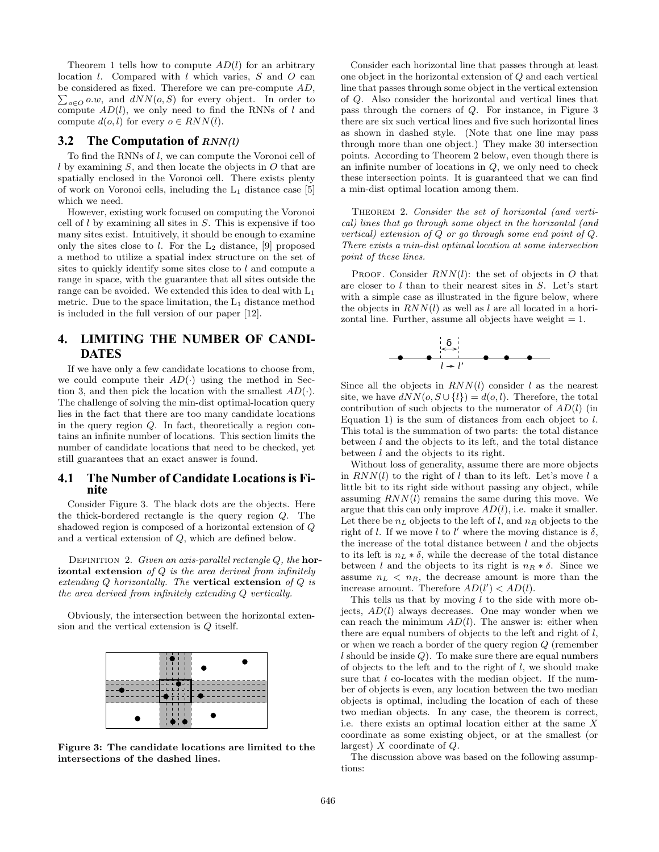Theorem 1 tells how to compute  $AD(l)$  for an arbitrary location  $l$ . Compared with  $l$  which varies,  $S$  and  $O$  can be considered as fixed. Therefore we can pre-compute  $AD$ ,  $\sum_{o\in O} o.w$ , and  $dNN(o, S)$  for every object. In order to compute  $AD(l)$ , we only need to find the RNNs of l and compute  $d(o, l)$  for every  $o \in RNN(l)$ .

## **3.2** The Computation of  $RNN(l)$

To find the RNNs of l, we can compute the Voronoi cell of l by examining S, and then locate the objects in O that are spatially enclosed in the Voronoi cell. There exists plenty of work on Voronoi cells, including the  $L_1$  distance case [5] which we need.

However, existing work focused on computing the Voronoi cell of  $l$  by examining all sites in  $S$ . This is expensive if too many sites exist. Intuitively, it should be enough to examine only the sites close to l. For the  $L_2$  distance, [9] proposed a method to utilize a spatial index structure on the set of sites to quickly identify some sites close to  $l$  and compute a range in space, with the guarantee that all sites outside the range can be avoided. We extended this idea to deal with  $L_1$ metric. Due to the space limitation, the  $L_1$  distance method is included in the full version of our paper [12].

# **4. LIMITING THE NUMBER OF CANDI-DATES**

If we have only a few candidate locations to choose from, we could compute their  $AD(\cdot)$  using the method in Section 3, and then pick the location with the smallest  $AD(\cdot)$ . The challenge of solving the min-dist optimal-location query lies in the fact that there are too many candidate locations in the query region Q. In fact, theoretically a region contains an infinite number of locations. This section limits the number of candidate locations that need to be checked, yet still guarantees that an exact answer is found.

## **4.1 The Number of Candidate Locations is Finite**

Consider Figure 3. The black dots are the objects. Here the thick-bordered rectangle is the query region Q. The shadowed region is composed of a horizontal extension of Q and a vertical extension of Q, which are defined below.

DEFINITION 2. Given an axis-parallel rectangle  $Q$ , the hor**izontal extension** of  $Q$  is the area derived from infinitely extending  $Q$  horizontally. The vertical extension of  $Q$  is the area derived from infinitely extending Q vertically.

Obviously, the intersection between the horizontal extension and the vertical extension is Q itself.



Figure 3: The candidate locations are limited to the intersections of the dashed lines.

Consider each horizontal line that passes through at least one object in the horizontal extension of Q and each vertical line that passes through some object in the vertical extension of Q. Also consider the horizontal and vertical lines that pass through the corners of Q. For instance, in Figure 3 there are six such vertical lines and five such horizontal lines as shown in dashed style. (Note that one line may pass through more than one object.) They make 30 intersection points. According to Theorem 2 below, even though there is an infinite number of locations in Q, we only need to check these intersection points. It is guaranteed that we can find a min-dist optimal location among them.

THEOREM 2. Consider the set of horizontal (and vertical) lines that go through some object in the horizontal (and vertical) extension of Q or go through some end point of Q. There exists a min-dist optimal location at some intersection point of these lines.

PROOF. Consider  $RNN(l)$ : the set of objects in O that are closer to l than to their nearest sites in S. Let's start with a simple case as illustrated in the figure below, where the objects in  $RNN(l)$  as well as l are all located in a horizontal line. Further, assume all objects have weight  $= 1$ .



Since all the objects in  $RNN(l)$  consider l as the nearest site, we have  $dNN(o, S \cup \{l\}) = d(o, l)$ . Therefore, the total contribution of such objects to the numerator of  $AD(l)$  (in Equation 1) is the sum of distances from each object to  $l$ . This total is the summation of two parts: the total distance between  $l$  and the objects to its left, and the total distance between l and the objects to its right.

Without loss of generality, assume there are more objects in  $RNN(l)$  to the right of l than to its left. Let's move l a little bit to its right side without passing any object, while assuming  $RNN(l)$  remains the same during this move. We argue that this can only improve  $AD(l)$ , i.e. make it smaller. Let there be  $n<sub>L</sub>$  objects to the left of l, and  $n<sub>R</sub>$  objects to the right of l. If we move l to l' where the moving distance is  $\delta$ , the increase of the total distance between  $l$  and the objects to its left is  $n<sub>L</sub> * \delta$ , while the decrease of the total distance between l and the objects to its right is  $n_R * \delta$ . Since we assume  $n_L < n_R$ , the decrease amount is more than the increase amount. Therefore  $AD(l') < AD(l)$ .

This tells us that by moving l to the side with more objects,  $AD(l)$  always decreases. One may wonder when we can reach the minimum  $AD(l)$ . The answer is: either when there are equal numbers of objects to the left and right of l, or when we reach a border of the query region Q (remember  $l$  should be inside  $Q$ ). To make sure there are equal numbers of objects to the left and to the right of l, we should make sure that l co-locates with the median object. If the number of objects is even, any location between the two median objects is optimal, including the location of each of these two median objects. In any case, the theorem is correct, i.e. there exists an optimal location either at the same X coordinate as some existing object, or at the smallest (or largest) X coordinate of Q.

The discussion above was based on the following assumptions: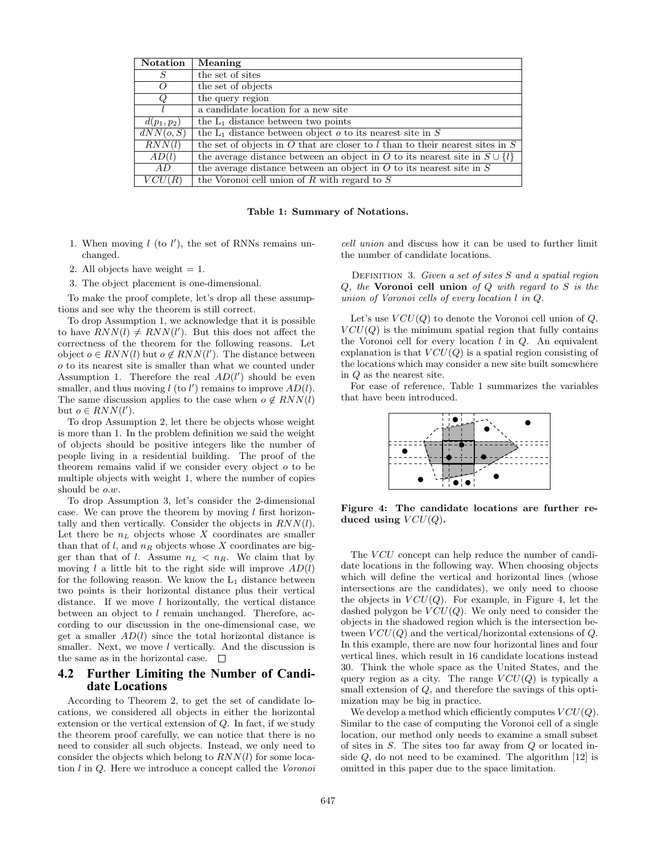| <b>Notation</b> | Meaning                                                                           |
|-----------------|-----------------------------------------------------------------------------------|
| S               | the set of sites                                                                  |
| Ω               | the set of objects                                                                |
| Q               | the query region                                                                  |
|                 | a candidate location for a new site                                               |
| $d(p_1, p_2)$   | the $L_1$ distance between two points                                             |
| dNN(o, S)       | the $L_1$ distance between object $o$ to its nearest site in $S$                  |
| RNN(l)          | the set of objects in $O$ that are closer to l than to their nearest sites in $S$ |
| AD(l)           | the average distance between an object in O to its nearest site in $S \cup \{l\}$ |
| AD              | the average distance between an object in $O$ to its nearest site in $S$          |
| VCU(R)          | the Voronoi cell union of $R$ with regard to $S$                                  |

Table 1: Summary of Notations.

- 1. When moving  $l$  (to  $l'$ ), the set of RNNs remains unchanged.
- 2. All objects have weight  $= 1$ .
- 3. The object placement is one-dimensional.

To make the proof complete, let's drop all these assumptions and see why the theorem is still correct.

To drop Assumption 1, we acknowledge that it is possible to have  $RNN(l) \neq RNN(l')$ . But this does not affect the correctness of the theorem for the following reasons. Let object  $o \in RNN(l)$  but  $o \notin RNN(l')$ . The distance between o to its nearest site is smaller than what we counted under Assumption 1. Therefore the real  $AD(l')$  should be even smaller, and thus moving  $l$  (to  $l'$ ) remains to improve  $AD(l)$ . The same discussion applies to the case when  $o \notin RNN(l)$ but  $o \in RNN(l')$ .

To drop Assumption 2, let there be objects whose weight is more than 1. In the problem definition we said the weight of objects should be positive integers like the number of people living in a residential building. The proof of the theorem remains valid if we consider every object  $o$  to be multiple objects with weight 1, where the number of copies should be o.w.

To drop Assumption 3, let's consider the 2-dimensional case. We can prove the theorem by moving  $l$  first horizontally and then vertically. Consider the objects in  $RNN(l)$ . Let there be  $n<sub>L</sub>$  objects whose X coordinates are smaller than that of l, and  $n_R$  objects whose X coordinates are bigger than that of l. Assume  $n_L < n_R$ . We claim that by moving  $l$  a little bit to the right side will improve  $AD(l)$ for the following reason. We know the  $L_1$  distance between two points is their horizontal distance plus their vertical distance. If we move  $l$  horizontally, the vertical distance between an object to l remain unchanged. Therefore, according to our discussion in the one-dimensional case, we get a smaller  $AD(l)$  since the total horizontal distance is smaller. Next, we move *l* vertically. And the discussion is the same as in the horizontal case.

## **4.2 Further Limiting the Number of Candidate Locations**

According to Theorem 2, to get the set of candidate locations, we considered all objects in either the horizontal extension or the vertical extension of Q. In fact, if we study the theorem proof carefully, we can notice that there is no need to consider all such objects. Instead, we only need to consider the objects which belong to  $RNN(l)$  for some location l in Q. Here we introduce a concept called the Voronoi

cell union and discuss how it can be used to further limit the number of candidate locations.

DEFINITION 3. Given a set of sites  $S$  and a spatial region  $Q$ , the Voronoi cell union of  $Q$  with regard to  $S$  is the union of Voronoi cells of every location l in Q.

Let's use  $VCU(Q)$  to denote the Voronoi cell union of  $Q$ .  $VCU(Q)$  is the minimum spatial region that fully contains the Voronoi cell for every location  $l$  in  $Q$ . An equivalent explanation is that  $VCU(Q)$  is a spatial region consisting of the locations which may consider a new site built somewhere in Q as the nearest site.

For ease of reference, Table 1 summarizes the variables that have been introduced.



Figure 4: The candidate locations are further reduced using  $VCU(Q)$ .

The VCU concept can help reduce the number of candidate locations in the following way. When choosing objects which will define the vertical and horizontal lines (whose intersections are the candidates), we only need to choose the objects in  $VCU(Q)$ . For example, in Figure 4, let the dashed polygon be  $VCU(Q)$ . We only need to consider the objects in the shadowed region which is the intersection between  $VCU(Q)$  and the vertical/horizontal extensions of Q. In this example, there are now four horizontal lines and four vertical lines, which result in 16 candidate locations instead 30. Think the whole space as the United States, and the query region as a city. The range  $VCU(Q)$  is typically a small extension of Q, and therefore the savings of this optimization may be big in practice.

We develop a method which efficiently computes  $VCU(Q)$ . Similar to the case of computing the Voronoi cell of a single location, our method only needs to examine a small subset of sites in S. The sites too far away from Q or located inside  $Q$ , do not need to be examined. The algorithm  $[12]$  is omitted in this paper due to the space limitation.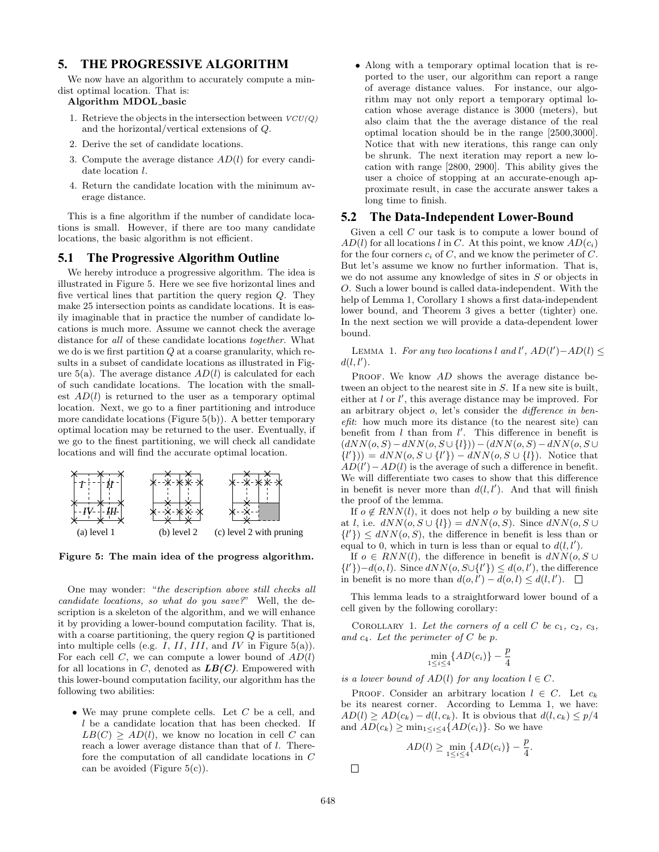# **5. THE PROGRESSIVE ALGORITHM**

We now have an algorithm to accurately compute a mindist optimal location. That is:

#### Algorithm MDOL basic

- 1. Retrieve the objects in the intersection between  $VCU(Q)$ and the horizontal/vertical extensions of Q.
- 2. Derive the set of candidate locations.
- 3. Compute the average distance  $AD(l)$  for every candidate location  $l$ .
- 4. Return the candidate location with the minimum average distance.

This is a fine algorithm if the number of candidate locations is small. However, if there are too many candidate locations, the basic algorithm is not efficient.

#### **5.1 The Progressive Algorithm Outline**

We hereby introduce a progressive algorithm. The idea is illustrated in Figure 5. Here we see five horizontal lines and five vertical lines that partition the query region Q. They make 25 intersection points as candidate locations. It is easily imaginable that in practice the number of candidate locations is much more. Assume we cannot check the average distance for all of these candidate locations together. What we do is we first partition  $Q$  at a coarse granularity, which results in a subset of candidate locations as illustrated in Figure  $5(a)$ . The average distance  $AD(l)$  is calculated for each of such candidate locations. The location with the smallest  $AD(l)$  is returned to the user as a temporary optimal location. Next, we go to a finer partitioning and introduce more candidate locations (Figure 5(b)). A better temporary optimal location may be returned to the user. Eventually, if we go to the finest partitioning, we will check all candidate locations and will find the accurate optimal location.



Figure 5: The main idea of the progress algorithm.

One may wonder: "the description above still checks all candidate locations, so what do you save?" Well, the description is a skeleton of the algorithm, and we will enhance it by providing a lower-bound computation facility. That is, with a coarse partitioning, the query region  $Q$  is partitioned into multiple cells (e.g.  $I, II, III,$  and  $IV$  in Figure 5(a)). For each cell  $C$ , we can compute a lower bound of  $AD(l)$ for all locations in  $C$ , denoted as  $LB(C)$ . Empowered with this lower-bound computation facility, our algorithm has the following two abilities:

• We may prune complete cells. Let  $C$  be a cell, and l be a candidate location that has been checked. If  $LB(C) \ge AD(l)$ , we know no location in cell C can reach a lower average distance than that of l. Therefore the computation of all candidate locations in C can be avoided (Figure  $5(c)$ ).

• Along with a temporary optimal location that is reported to the user, our algorithm can report a range of average distance values. For instance, our algorithm may not only report a temporary optimal location whose average distance is 3000 (meters), but also claim that the the average distance of the real optimal location should be in the range [2500,3000]. Notice that with new iterations, this range can only be shrunk. The next iteration may report a new location with range [2800, 2900]. This ability gives the user a choice of stopping at an accurate-enough approximate result, in case the accurate answer takes a long time to finish.

#### **5.2 The Data-Independent Lower-Bound**

Given a cell C our task is to compute a lower bound of  $AD(l)$  for all locations l in C. At this point, we know  $AD(c_i)$ for the four corners  $c_i$  of C, and we know the perimeter of C. But let's assume we know no further information. That is, we do not assume any knowledge of sites in S or objects in O. Such a lower bound is called data-independent. With the help of Lemma 1, Corollary 1 shows a first data-independent lower bound, and Theorem 3 gives a better (tighter) one. In the next section we will provide a data-dependent lower bound.

LEMMA 1. For any two locations l and l',  $AD(l')-AD(l) \leq$  $d(l, l').$ 

PROOF. We know AD shows the average distance between an object to the nearest site in S. If a new site is built, either at  $l$  or  $l'$ , this average distance may be improved. For an arbitrary object o, let's consider the difference in benefit: how much more its distance (to the nearest site) can benefit from  $l$  than from  $l'$ . This difference in benefit is  $(dNN(o, S) - dNN(o, S \cup \{l\})) - (dNN(o, S) - dNN(o, S \cup$  ${l' \rbrace}) = dNN(o, S \cup {l'}\}) - dNN(o, S \cup {l}).$  Notice that  $AD(l') - AD(l)$  is the average of such a difference in benefit. We will differentiate two cases to show that this difference in benefit is never more than  $d(l, l')$ . And that will finish the proof of the lemma.

If  $o \notin RNN(l)$ , it does not help *o* by building a new site at l, i.e.  $dNN(o, S \cup \{l\}) = dNN(o, S)$ . Since  $dNN(o, S \cup$  $\{l'\}\leq dNN(o, S)$ , the difference in benefit is less than or equal to 0, which in turn is less than or equal to  $d(l, l')$ .

If  $o \in RNN(l)$ , the difference in benefit is  $dNN(o, S \cup$  $\{l'\}\)-d(o, l)$ . Since  $dNN(o, S\cup \{l'\}) \leq d(o, l')$ , the difference in benefit is no more than  $d(o, l') - d(o, l) \leq d(l, l').$ 

This lemma leads to a straightforward lower bound of a cell given by the following corollary:

COROLLARY 1. Let the corners of a cell C be  $c_1, c_2, c_3$ , and  $c_4$ . Let the perimeter of C be p.

$$
\min_{1 \le i \le 4} \{AD(c_i)\} - \frac{p}{4}
$$

is a lower bound of  $AD(l)$  for any location  $l \in C$ .

PROOF. Consider an arbitrary location  $l \in C$ . Let  $c_k$ be its nearest corner. According to Lemma 1, we have:  $AD(l) \geq AD(c_k) - d(l, c_k)$ . It is obvious that  $d(l, c_k) \leq p/4$ and  $AD(c_k) \geq \min_{1 \leq i \leq 4} \{AD(c_i)\}.$  So we have

$$
AD(l) \ge \min_{1 \le i \le 4} \{AD(c_i)\} - \frac{p}{4}.
$$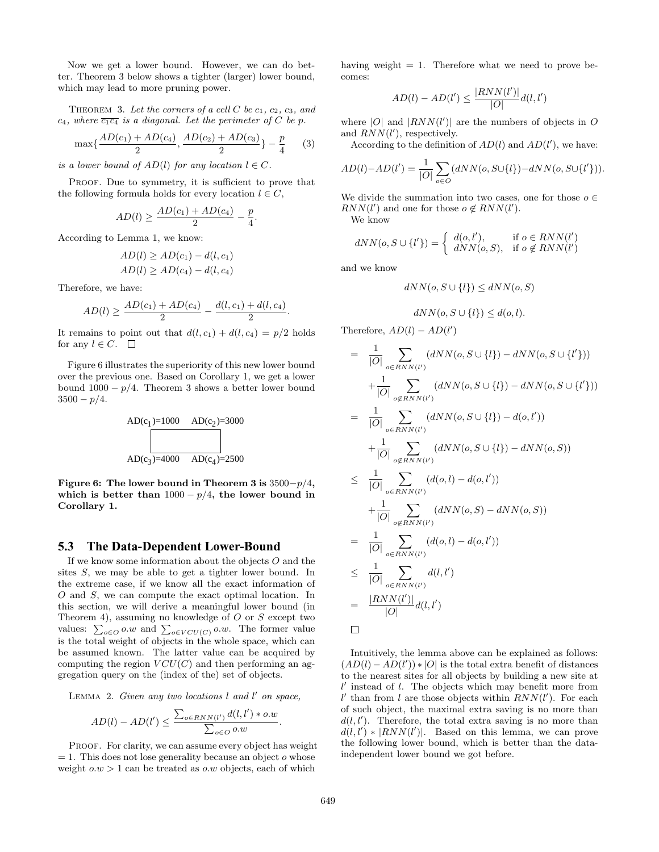Now we get a lower bound. However, we can do better. Theorem 3 below shows a tighter (larger) lower bound, which may lead to more pruning power.

THEOREM 3. Let the corners of a cell C be  $c_1, c_2, c_3$ , and c<sub>4</sub>, where  $\overline{c_1c_4}$  is a diagonal. Let the perimeter of C be p.

$$
\max\{\frac{AD(c_1) + AD(c_4)}{2}, \frac{AD(c_2) + AD(c_3)}{2}\} - \frac{p}{4} \qquad (3)
$$

is a lower bound of  $AD(l)$  for any location  $l \in C$ .

PROOF. Due to symmetry, it is sufficient to prove that the following formula holds for every location  $l \in C$ ,

$$
AD(l) \ge \frac{AD(c_1) + AD(c_4)}{2} - \frac{p}{4}.
$$

According to Lemma 1, we know:

$$
AD(l) \ge AD(c_1) - d(l, c_1)
$$
  

$$
AD(l) \ge AD(c_4) - d(l, c_4)
$$

Therefore, we have:

$$
AD(l) \ge \frac{AD(c_1) + AD(c_4)}{2} - \frac{d(l, c_1) + d(l, c_4)}{2}.
$$

It remains to point out that  $d(l, c_1) + d(l, c_4) = p/2$  holds for any  $l \in C$ .  $\Box$ 

Figure 6 illustrates the superiority of this new lower bound over the previous one. Based on Corollary 1, we get a lower bound  $1000 - p/4$ . Theorem 3 shows a better lower bound  $3500 - p/4.$ 



Figure 6: The lower bound in Theorem 3 is  $3500-p/4$ , which is better than  $1000 - p/4$ , the lower bound in Corollary 1.

#### **5.3 The Data-Dependent Lower-Bound**

If we know some information about the objects  $O$  and the sites S, we may be able to get a tighter lower bound. In the extreme case, if we know all the exact information of O and S, we can compute the exact optimal location. In this section, we will derive a meaningful lower bound (in Theorem 4), assuming no knowledge of  $O$  or  $S$  except two Theorem 4), assuming no knowledge or O or S except two<br>values:  $\sum_{o \in O} o.w$  and  $\sum_{o \in VCU(C)} o.w$ . The former value is the total weight of objects in the whole space, which can be assumed known. The latter value can be acquired by computing the region  $VCU(C)$  and then performing an aggregation query on the (index of the) set of objects.

LEMMA 2. Given any two locations  $l$  and  $l'$  on space,

$$
AD(l) - AD(l') \leq \frac{\sum_{o \in RNN(l')} d(l, l') * o.w}{\sum_{o \in O} o.w}.
$$

PROOF. For clarity, we can assume every object has weight  $= 1$ . This does not lose generality because an object o whose weight  $o.w > 1$  can be treated as  $o.w$  objects, each of which

having weight  $= 1$ . Therefore what we need to prove becomes:

$$
AD(l) - AD(l') \le \frac{|RNN(l')|}{|O|}d(l,l')
$$

where  $|O|$  and  $|RNN(l')|$  are the numbers of objects in O and  $RNN(l')$ , respectively.

According to the definition of  $AD(l)$  and  $AD(l')$ , we have:

$$
AD(l) - AD(l') = \frac{1}{|O|} \sum_{o \in O} (dNN(o, S \cup \{l\}) - dNN(o, S \cup \{l'\})).
$$

We divide the summation into two cases, one for those  $o \in$  $RNN(l')$  and one for those  $o \notin RNN(l')$ .

We know

$$
dNN(o, S \cup \{l'\}) = \begin{cases} d(o, l'), & \text{if } o \in RNN(l')\\ dNN(o, S), & \text{if } o \notin RNN(l') \end{cases}
$$

and we know

$$
dNN(o, S \cup \{l\}) \le dNN(o, S)
$$

$$
dNN(o, S \cup \{l\}) \leq d(o, l).
$$

Therefore,  $AD(l) - AD(l')$ 

$$
= \frac{1}{|O|} \sum_{o \in RNN(l')} (dNN(o, S \cup \{l\}) - dNN(o, S \cup \{l'\}))
$$
  
+ 
$$
\frac{1}{|O|} \sum_{o \notin RNN(l')} (dNN(o, S \cup \{l\}) - dNN(o, S \cup \{l'\}))
$$
  
= 
$$
\frac{1}{|O|} \sum_{o \in RNN(l')} (dNN(o, S \cup \{l\}) - d(o, l'))
$$
  
+ 
$$
\frac{1}{|O|} \sum_{o \notin RNN(l')} (dNN(o, S \cup \{l\}) - dNN(o, S))
$$
  

$$
\leq \frac{1}{|O|} \sum_{o \in RNN(l')} (dNN(o, S \cup \{l\}) - dNN(o, S))
$$
  
+ 
$$
\frac{1}{|O|} \sum_{o \notin RNN(l')} (dNN(o, S) - dNN(o, S))
$$
  
= 
$$
\frac{1}{|O|} \sum_{o \in RNN(l')} (d(o, l) - d(o, l'))
$$
  

$$
\leq \frac{1}{|O|} \sum_{o \in RNN(l')} d(l, l')
$$
  
= 
$$
\frac{|RNN(l')|}{|O|} d(l, l')
$$

Intuitively, the lemma above can be explained as follows:  $(AD(l) - AD(l')) * |O|$  is the total extra benefit of distances to the nearest sites for all objects by building a new site at  $l'$  instead of  $l$ . The objects which may benefit more from  $l'$  than from l are those objects within  $RNN(l')$ . For each of such object, the maximal extra saving is no more than  $d(l, l')$ . Therefore, the total extra saving is no more than  $d(l, l') * |RNN(l')|$ . Based on this lemma, we can prove the following lower bound, which is better than the dataindependent lower bound we got before.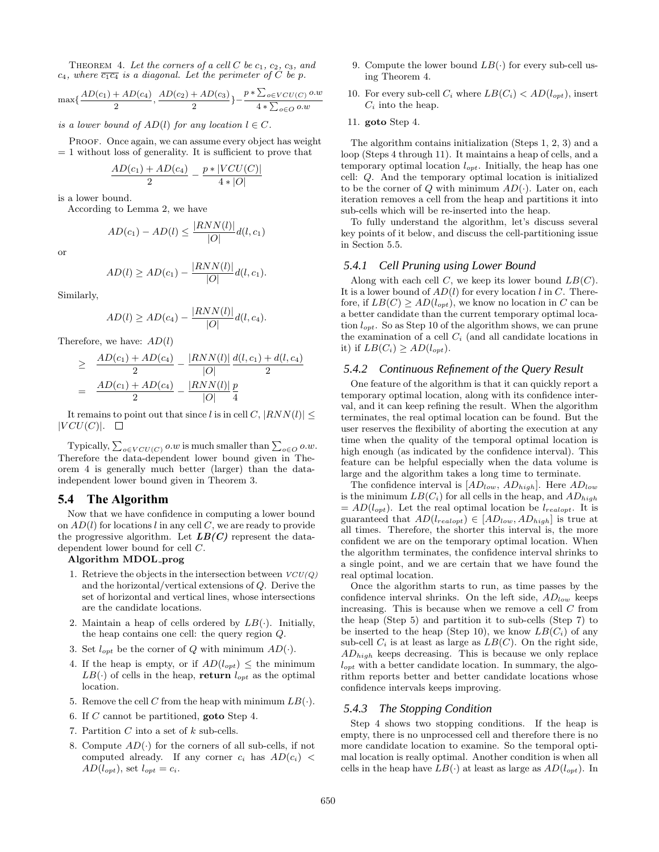THEOREM 4. Let the corners of a cell C be  $c_1, c_2, c_3,$  and  $c_4$ , where  $\overline{c_1c_4}$  is a diagonal. Let the perimeter of C be p.

$$
\max{\frac{AD(c_1) + AD(c_4)}{2}, \frac{AD(c_2) + AD(c_3)}{2}} - \frac{p * \sum_{o \in VCU(C)} o.w}{4 * \sum_{o \in O} o.w}
$$

is a lower bound of  $AD(l)$  for any location  $l \in C$ .

PROOF. Once again, we can assume every object has weight  $= 1$  without loss of generality. It is sufficient to prove that

$$
\frac{AD(c_1) + AD(c_4)}{2} - \frac{p * |VCU(C)|}{4 * |O|}
$$

is a lower bound.

According to Lemma 2, we have

$$
AD(c_1) - AD(l) \le \frac{|RNN(l)|}{|O|}d(l, c_1)
$$

or

$$
AD(l) \ge AD(c_1) - \frac{|RNN(l)|}{|O|}d(l, c_1).
$$

Similarly,

$$
AD(l) \ge AD(c_4) - \frac{|RNN(l)|}{|O|}d(l, c_4).
$$

Therefore, we have:  $AD(l)$ 

$$
\geq \frac{AD(c_1) + AD(c_4)}{2} - \frac{|RNN(l)|}{|O|} \frac{d(l, c_1) + d(l, c_4)}{2}
$$

$$
= \frac{AD(c_1) + AD(c_4)}{2} - \frac{|RNN(l)|}{|O|} \frac{p}{4}
$$

It remains to point out that since l is in cell C,  $|RNN(l)| \leq$  $|VCU(C)|$ .  $\Box$ 

Typically,  $\sum_{o \in VCU(C)} o.w$  is much smaller than  $\sum_{o \in O} o.w$ . Therefore the data-dependent lower bound given in Theorem 4 is generally much better (larger) than the dataindependent lower bound given in Theorem 3.

# **5.4 The Algorithm**

Now that we have confidence in computing a lower bound on  $AD(l)$  for locations l in any cell C, we are ready to provide the progressive algorithm. Let  $LB(C)$  represent the datadependent lower bound for cell C.

#### Algorithm MDOL prog

- 1. Retrieve the objects in the intersection between  $VCU(Q)$ and the horizontal/vertical extensions of Q. Derive the set of horizontal and vertical lines, whose intersections are the candidate locations.
- 2. Maintain a heap of cells ordered by  $LB(\cdot)$ . Initially, the heap contains one cell: the query region Q.
- 3. Set  $l_{opt}$  be the corner of Q with minimum  $AD(\cdot)$ .
- 4. If the heap is empty, or if  $AD(l_{opt}) \leq$  the minimum  $LB(\cdot)$  of cells in the heap, return  $l_{opt}$  as the optimal location.
- 5. Remove the cell C from the heap with minimum  $LB(\cdot)$ .
- 6. If C cannot be partitioned, goto Step 4.
- 7. Partition  $C$  into a set of  $k$  sub-cells.
- 8. Compute  $AD(\cdot)$  for the corners of all sub-cells, if not computed already. If any corner  $c_i$  has  $AD(c_i)$  <  $AD(l_{opt})$ , set  $l_{opt} = c_i$ .
- 9. Compute the lower bound  $LB(\cdot)$  for every sub-cell using Theorem 4.
- 10. For every sub-cell  $C_i$  where  $LB(C_i) < AD(l_{opt})$ , insert  $C_i$  into the heap.
- 11. goto Step 4.

The algorithm contains initialization (Steps 1, 2, 3) and a loop (Steps 4 through 11). It maintains a heap of cells, and a temporary optimal location  $l_{opt}$ . Initially, the heap has one cell: Q. And the temporary optimal location is initialized to be the corner of  $Q$  with minimum  $AD(\cdot)$ . Later on, each iteration removes a cell from the heap and partitions it into sub-cells which will be re-inserted into the heap.

To fully understand the algorithm, let's discuss several key points of it below, and discuss the cell-partitioning issue in Section 5.5.

#### *5.4.1 Cell Pruning using Lower Bound*

Along with each cell  $C$ , we keep its lower bound  $LB(C)$ . It is a lower bound of  $AD(l)$  for every location l in C. Therefore, if  $LB(C) \ge AD(l_{opt})$ , we know no location in C can be a better candidate than the current temporary optimal location  $l_{opt}$ . So as Step 10 of the algorithm shows, we can prune the examination of a cell  $C_i$  (and all candidate locations in it) if  $LB(C_i) \geq AD(l_{opt})$ .

#### *5.4.2 Continuous Refinement of the Query Result*

One feature of the algorithm is that it can quickly report a temporary optimal location, along with its confidence interval, and it can keep refining the result. When the algorithm terminates, the real optimal location can be found. But the user reserves the flexibility of aborting the execution at any time when the quality of the temporal optimal location is high enough (as indicated by the confidence interval). This feature can be helpful especially when the data volume is large and the algorithm takes a long time to terminate.

The confidence interval is  $[AD_{low}, AD_{high}]$ . Here  $AD_{low}$ is the minimum  $LB(C_i)$  for all cells in the heap, and  $AD_{high}$  $= AD(l_{opt})$ . Let the real optimal location be  $l_{realopt}$ . It is guaranteed that  $AD(l_{realopt}) \in [AD_{low}, AD_{high}]$  is true at all times. Therefore, the shorter this interval is, the more confident we are on the temporary optimal location. When the algorithm terminates, the confidence interval shrinks to a single point, and we are certain that we have found the real optimal location.

Once the algorithm starts to run, as time passes by the confidence interval shrinks. On the left side,  $AD_{low}$  keeps increasing. This is because when we remove a cell  $C$  from the heap (Step 5) and partition it to sub-cells (Step 7) to be inserted to the heap (Step 10), we know  $LB(C_i)$  of any sub-cell  $C_i$  is at least as large as  $LB(C)$ . On the right side,  $AD_{high}$  keeps decreasing. This is because we only replace  $l_{opt}$  with a better candidate location. In summary, the algorithm reports better and better candidate locations whose confidence intervals keeps improving.

#### *5.4.3 The Stopping Condition*

Step 4 shows two stopping conditions. If the heap is empty, there is no unprocessed cell and therefore there is no more candidate location to examine. So the temporal optimal location is really optimal. Another condition is when all cells in the heap have  $LB(\cdot)$  at least as large as  $AD(l_{opt})$ . In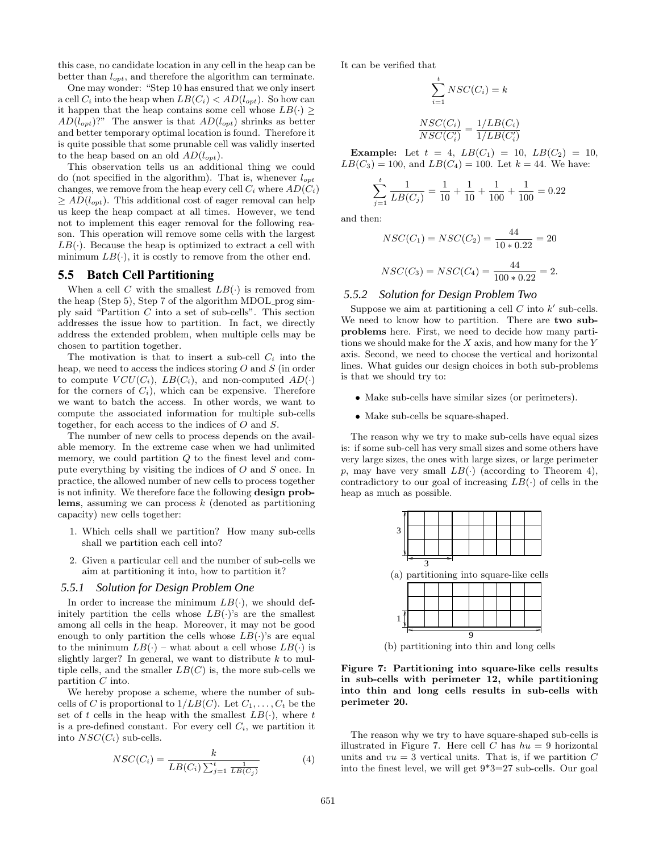this case, no candidate location in any cell in the heap can be better than  $l_{opt}$ , and therefore the algorithm can terminate.

One may wonder: "Step 10 has ensured that we only insert a cell  $C_i$  into the heap when  $LB(C_i) < AD(l_{opt})$ . So how can it happen that the heap contains some cell whose  $LB(.) >$  $AD(l_{opt})$ ?" The answer is that  $AD(l_{opt})$  shrinks as better and better temporary optimal location is found. Therefore it is quite possible that some prunable cell was validly inserted to the heap based on an old  $AD(l_{opt})$ .

This observation tells us an additional thing we could do (not specified in the algorithm). That is, whenever  $l_{opt}$ changes, we remove from the heap every cell  $C_i$  where  $AD(C_i)$  $\geq AD(l_{opt})$ . This additional cost of eager removal can help us keep the heap compact at all times. However, we tend not to implement this eager removal for the following reason. This operation will remove some cells with the largest  $LB(\cdot)$ . Because the heap is optimized to extract a cell with minimum  $LB(\cdot)$ , it is costly to remove from the other end.

## **5.5 Batch Cell Partitioning**

When a cell C with the smallest  $LB(.)$  is removed from the heap (Step 5), Step 7 of the algorithm MDOL prog simply said "Partition C into a set of sub-cells". This section addresses the issue how to partition. In fact, we directly address the extended problem, when multiple cells may be chosen to partition together.

The motivation is that to insert a sub-cell  $C_i$  into the heap, we need to access the indices storing  $O$  and  $S$  (in order to compute  $VCU(C_i)$ ,  $LB(C_i)$ , and non-computed  $AD(\cdot)$ for the corners of  $C_i$ ), which can be expensive. Therefore we want to batch the access. In other words, we want to compute the associated information for multiple sub-cells together, for each access to the indices of O and S.

The number of new cells to process depends on the available memory. In the extreme case when we had unlimited memory, we could partition  $Q$  to the finest level and compute everything by visiting the indices of O and S once. In practice, the allowed number of new cells to process together is not infinity. We therefore face the following design problems, assuming we can process  $k$  (denoted as partitioning capacity) new cells together:

- 1. Which cells shall we partition? How many sub-cells shall we partition each cell into?
- 2. Given a particular cell and the number of sub-cells we aim at partitioning it into, how to partition it?

#### *5.5.1 Solution for Design Problem One*

In order to increase the minimum  $LB(\cdot)$ , we should definitely partition the cells whose  $LB(\cdot)$ 's are the smallest among all cells in the heap. Moreover, it may not be good enough to only partition the cells whose  $LB(\cdot)$ 's are equal to the minimum  $LB(\cdot)$  – what about a cell whose  $LB(\cdot)$  is slightly larger? In general, we want to distribute  $k$  to multiple cells, and the smaller  $LB(C)$  is, the more sub-cells we partition C into.

We hereby propose a scheme, where the number of subcells of C is proportional to  $1/LB(C)$ . Let  $C_1, \ldots, C_t$  be the set of t cells in the heap with the smallest  $LB(\cdot)$ , where t is a pre-defined constant. For every cell  $C_i$ , we partition it into  $NSC(C_i)$  sub-cells.

$$
NSC(C_i) = \frac{k}{LB(C_i)\sum_{j=1}^t \frac{1}{LB(C_j)}}\tag{4}
$$

It can be verified that

$$
\sum_{i=1}^{t} NSC(C_i) = k
$$

$$
\frac{NSC(C_i)}{NSC(C'_i)} = \frac{1/LB(C_i)}{1/LB(C'_i)}
$$

**Example:** Let  $t = 4$ ,  $LB(C_1) = 10$ ,  $LB(C_2) = 10$ ,  $LB(C_3) = 100$ , and  $LB(C_4) = 100$ . Let  $k = 44$ . We have:

$$
\sum_{j=1}^{t} \frac{1}{LB(C_j)} = \frac{1}{10} + \frac{1}{10} + \frac{1}{100} + \frac{1}{100} = 0.22
$$

and then:

$$
NSC(C_1) = NSC(C_2) = \frac{44}{10 * 0.22} = 20
$$
  

$$
NSC(C_3) = NSC(C_4) = \frac{44}{100 * 0.22} = 2.
$$

#### *5.5.2 Solution for Design Problem Two*

Suppose we aim at partitioning a cell  $C$  into  $k'$  sub-cells. We need to know how to partition. There are two subproblems here. First, we need to decide how many partitions we should make for the  $X$  axis, and how many for the  $Y$ axis. Second, we need to choose the vertical and horizontal lines. What guides our design choices in both sub-problems is that we should try to:

- Make sub-cells have similar sizes (or perimeters).
- Make sub-cells be square-shaped.

The reason why we try to make sub-cells have equal sizes is: if some sub-cell has very small sizes and some others have very large sizes, the ones with large sizes, or large perimeter p, may have very small  $LB(\cdot)$  (according to Theorem 4), contradictory to our goal of increasing  $LB(.)$  of cells in the heap as much as possible.



(b) partitioning into thin and long cells

Figure 7: Partitioning into square-like cells results in sub-cells with perimeter 12, while partitioning into thin and long cells results in sub-cells with perimeter 20.

The reason why we try to have square-shaped sub-cells is illustrated in Figure 7. Here cell C has  $hu = 9$  horizontal units and  $vu = 3$  vertical units. That is, if we partition C into the finest level, we will get 9\*3=27 sub-cells. Our goal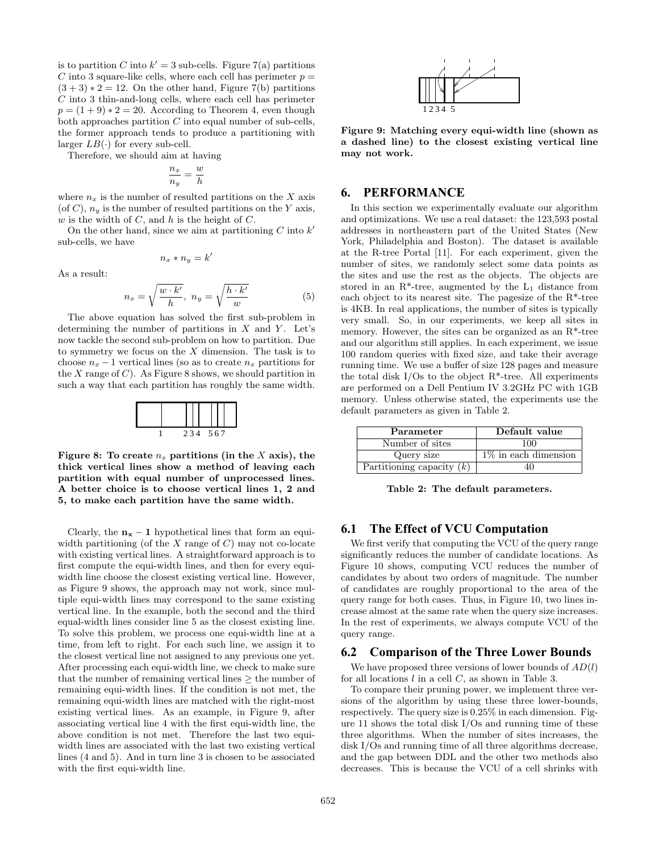is to partition C into  $k' = 3$  sub-cells. Figure 7(a) partitions C into 3 square-like cells, where each cell has perimeter  $p =$  $(3 + 3) * 2 = 12$ . On the other hand, Figure 7(b) partitions  $C$  into 3 thin-and-long cells, where each cell has perimeter  $p = (1 + 9) * 2 = 20$ . According to Theorem 4, even though both approaches partition  $C$  into equal number of sub-cells, the former approach tends to produce a partitioning with larger  $LB(\cdot)$  for every sub-cell.

Therefore, we should aim at having

$$
\frac{n_x}{n_y} = \frac{w}{h}
$$

where  $n_x$  is the number of resulted partitions on the X axis (of C),  $n_y$  is the number of resulted partitions on the Y axis,  $w$  is the width of  $C$ , and  $h$  is the height of  $C$ .

On the other hand, since we aim at partitioning  $C$  into  $k'$ sub-cells, we have

$$
n_x * n_y = k'
$$

As a result:

$$
n_x = \sqrt{\frac{w \cdot k'}{h}}, \ n_y = \sqrt{\frac{h \cdot k'}{w}} \tag{5}
$$

The above equation has solved the first sub-problem in determining the number of partitions in  $X$  and  $Y$ . Let's now tackle the second sub-problem on how to partition. Due to symmetry we focus on the  $X$  dimension. The task is to choose  $n_x - 1$  vertical lines (so as to create  $n_x$  partitions for the X range of C). As Figure 8 shows, we should partition in such a way that each partition has roughly the same width.

|  | 234 567 |  |  |
|--|---------|--|--|

Figure 8: To create  $n_x$  partitions (in the X axis), the thick vertical lines show a method of leaving each partition with equal number of unprocessed lines. A better choice is to choose vertical lines 1, 2 and 5, to make each partition have the same width.

Clearly, the  $n_x - 1$  hypothetical lines that form an equiwidth partitioning (of the  $X$  range of  $C$ ) may not co-locate with existing vertical lines. A straightforward approach is to first compute the equi-width lines, and then for every equiwidth line choose the closest existing vertical line. However, as Figure 9 shows, the approach may not work, since multiple equi-width lines may correspond to the same existing vertical line. In the example, both the second and the third equal-width lines consider line 5 as the closest existing line. To solve this problem, we process one equi-width line at a time, from left to right. For each such line, we assign it to the closest vertical line not assigned to any previous one yet. After processing each equi-width line, we check to make sure that the number of remaining vertical lines ≥ the number of remaining equi-width lines. If the condition is not met, the remaining equi-width lines are matched with the right-most existing vertical lines. As an example, in Figure 9, after associating vertical line 4 with the first equi-width line, the above condition is not met. Therefore the last two equiwidth lines are associated with the last two existing vertical lines (4 and 5). And in turn line 3 is chosen to be associated with the first equi-width line.



Figure 9: Matching every equi-width line (shown as a dashed line) to the closest existing vertical line may not work.

# **6. PERFORMANCE**

In this section we experimentally evaluate our algorithm and optimizations. We use a real dataset: the 123,593 postal addresses in northeastern part of the United States (New York, Philadelphia and Boston). The dataset is available at the R-tree Portal [11]. For each experiment, given the number of sites, we randomly select some data points as the sites and use the rest as the objects. The objects are stored in an  $R^*$ -tree, augmented by the  $L_1$  distance from each object to its nearest site. The pagesize of the  $R^*$ -tree is 4KB. In real applications, the number of sites is typically very small. So, in our experiments, we keep all sites in memory. However, the sites can be organized as an R\*-tree and our algorithm still applies. In each experiment, we issue 100 random queries with fixed size, and take their average running time. We use a buffer of size 128 pages and measure the total disk I/Os to the object  $R^*$ -tree. All experiments are performed on a Dell Pentium IV 3.2GHz PC with 1GB memory. Unless otherwise stated, the experiments use the default parameters as given in Table 2.

| Parameter                   | Default value           |  |  |
|-----------------------------|-------------------------|--|--|
| Number of sites             | 100                     |  |  |
| Query size                  | $1\%$ in each dimension |  |  |
| Partitioning capacity $(k)$ |                         |  |  |

Table 2: The default parameters.

# **6.1 The Effect of VCU Computation**

We first verify that computing the VCU of the query range significantly reduces the number of candidate locations. As Figure 10 shows, computing VCU reduces the number of candidates by about two orders of magnitude. The number of candidates are roughly proportional to the area of the query range for both cases. Thus, in Figure 10, two lines increase almost at the same rate when the query size increases. In the rest of experiments, we always compute VCU of the query range.

#### **6.2 Comparison of the Three Lower Bounds**

We have proposed three versions of lower bounds of  $AD(l)$ for all locations  $l$  in a cell  $C$ , as shown in Table 3.

To compare their pruning power, we implement three versions of the algorithm by using these three lower-bounds, respectively. The query size is 0.25% in each dimension. Figure 11 shows the total disk I/Os and running time of these three algorithms. When the number of sites increases, the disk I/Os and running time of all three algorithms decrease, and the gap between DDL and the other two methods also decreases. This is because the VCU of a cell shrinks with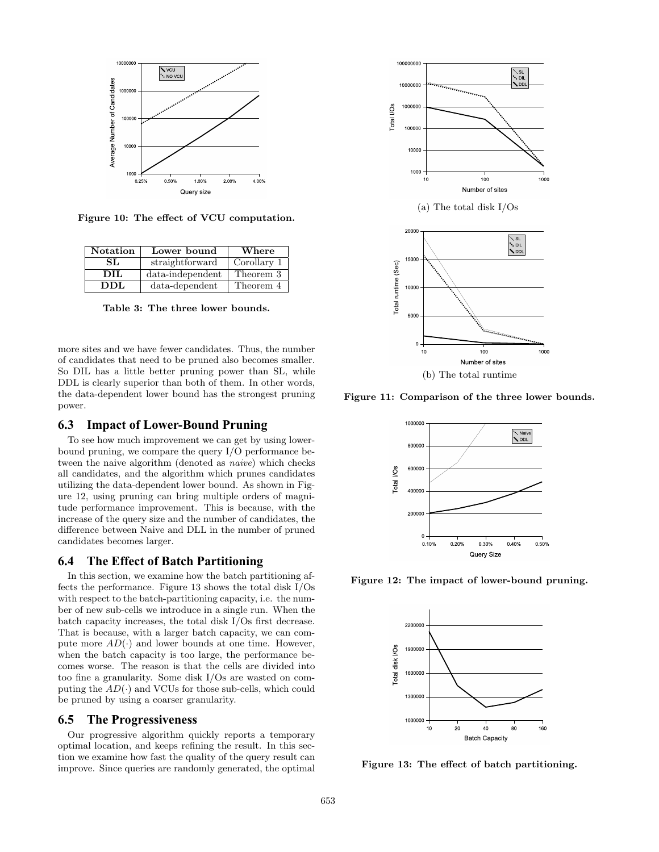

Figure 10: The effect of VCU computation.

| <b>Notation</b> | Lower bound      | Where       |  |
|-----------------|------------------|-------------|--|
| SL.             | straightforward  | Corollary 1 |  |
| DIL             | data-independent | Theorem 3   |  |
| DDL             | $data-dependent$ | Theorem 4   |  |

Table 3: The three lower bounds.

more sites and we have fewer candidates. Thus, the number of candidates that need to be pruned also becomes smaller. So DIL has a little better pruning power than SL, while DDL is clearly superior than both of them. In other words, the data-dependent lower bound has the strongest pruning power.

# **6.3 Impact of Lower-Bound Pruning**

To see how much improvement we can get by using lowerbound pruning, we compare the query I/O performance between the naive algorithm (denoted as naive) which checks all candidates, and the algorithm which prunes candidates utilizing the data-dependent lower bound. As shown in Figure 12, using pruning can bring multiple orders of magnitude performance improvement. This is because, with the increase of the query size and the number of candidates, the difference between Naive and DLL in the number of pruned candidates becomes larger.

# **6.4 The Effect of Batch Partitioning**

In this section, we examine how the batch partitioning affects the performance. Figure 13 shows the total disk I/Os with respect to the batch-partitioning capacity, i.e. the number of new sub-cells we introduce in a single run. When the batch capacity increases, the total disk I/Os first decrease. That is because, with a larger batch capacity, we can compute more  $AD(\cdot)$  and lower bounds at one time. However, when the batch capacity is too large, the performance becomes worse. The reason is that the cells are divided into too fine a granularity. Some disk I/Os are wasted on computing the  $AD(\cdot)$  and VCUs for those sub-cells, which could be pruned by using a coarser granularity.

# **6.5 The Progressiveness**

Our progressive algorithm quickly reports a temporary optimal location, and keeps refining the result. In this section we examine how fast the quality of the query result can improve. Since queries are randomly generated, the optimal



Figure 11: Comparison of the three lower bounds.



Figure 12: The impact of lower-bound pruning.



Figure 13: The effect of batch partitioning.